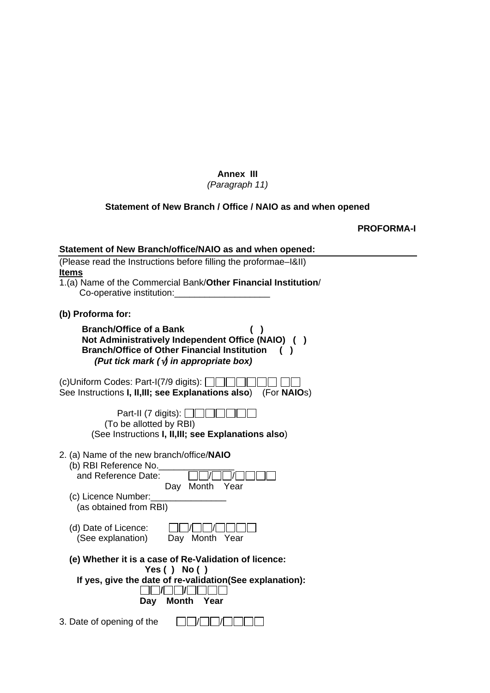# **Annex III**

# *(Paragraph 11)*

# **Statement of New Branch / Office / NAIO as and when opened**

**PROFORMA-I** 

| Statement of New Branch/office/NAIO as and when opened:                                                                                                                                       |
|-----------------------------------------------------------------------------------------------------------------------------------------------------------------------------------------------|
| (Please read the Instructions before filling the proformae-I&II)                                                                                                                              |
| <b>Items</b><br>1.(a) Name of the Commercial Bank/Other Financial Institution/                                                                                                                |
| Co-operative institution:                                                                                                                                                                     |
| (b) Proforma for:                                                                                                                                                                             |
| <b>Branch/Office of a Bank</b><br>Not Administratively Independent Office (NAIO) ()<br><b>Branch/Office of Other Financial Institution</b><br>(Put tick mark $(\sqrt{y})$ in appropriate box) |
| (c)Uniform Codes: Part-I(7/9 digits): $\Box$<br>See Instructions I, II, III; see Explanations also)<br>(For <b>NAIO</b> s)                                                                    |
| Part-II (7 digits): $\Box$<br>(To be allotted by RBI)<br>(See Instructions I, II, III; see Explanations also)                                                                                 |
| 2. (a) Name of the new branch/office/NAIO<br>(b) RBI Reference No.<br>and Reference Date:<br>Day Month<br>Year<br>(c) Licence Number:<br>(as obtained from RBI)                               |
| (d) Date of Licence:<br>(See explanation)<br>Day Month<br>Year                                                                                                                                |
| (e) Whether it is a case of Re-Validation of licence:<br>Yes ( ) No ( )<br>If yes, give the date of re-validation (See explanation):<br><b>Month</b><br>Year<br>Day                           |
| 3. Date of opening of the                                                                                                                                                                     |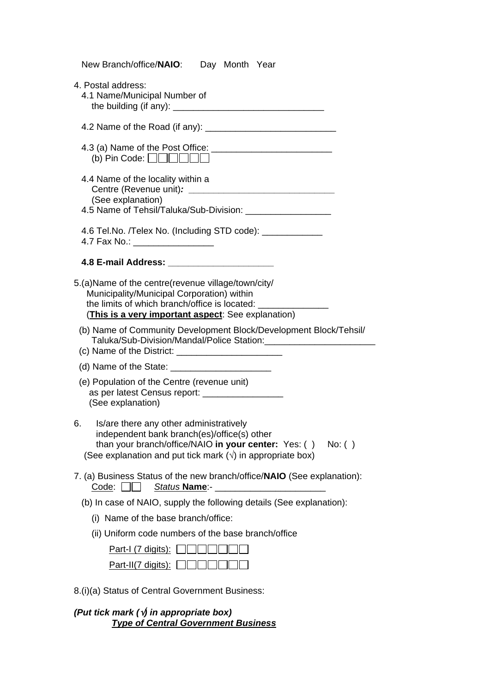| New Branch/office/NAIO:<br>Day Month Year                                                                                                                                                                                         |
|-----------------------------------------------------------------------------------------------------------------------------------------------------------------------------------------------------------------------------------|
| 4. Postal address:<br>4.1 Name/Municipal Number of                                                                                                                                                                                |
|                                                                                                                                                                                                                                   |
| (b) Pin Code: $\Box$ $\Box$ $\Box$ $\Box$ $\Box$                                                                                                                                                                                  |
| 4.4 Name of the locality within a<br>(See explanation)<br>4.5 Name of Tehsil/Taluka/Sub-Division: ___________________                                                                                                             |
| 4.6 Tel.No. /Telex No. (Including STD code): _____________<br>4.7 Fax No.: __________________                                                                                                                                     |
| 4.8 E-mail Address: _________________________                                                                                                                                                                                     |
| 5.(a) Name of the centre (revenue village/town/city/<br>Municipality/Municipal Corporation) within<br>the limits of which branch/office is located:<br>(This is a very important aspect: See explanation)                         |
| (b) Name of Community Development Block/Development Block/Tehsil/<br>Taluka/Sub-Division/Mandal/Police Station:_____________________                                                                                              |
|                                                                                                                                                                                                                                   |
| (e) Population of the Centre (revenue unit)<br>as per latest Census report: ___________________<br>(See explanation)                                                                                                              |
| Is/are there any other administratively<br>6.<br>independent bank branch(es)/office(s) other<br>than your branch/office/NAIO in your center: Yes: () No: ()<br>(See explanation and put tick mark $(\sqrt{})$ in appropriate box) |
| 7. (a) Business Status of the new branch/office/NAIO (See explanation):<br>$Code: \Box$<br><u>Status Name</u> :- ____________________                                                                                             |
| (b) In case of NAIO, supply the following details (See explanation):                                                                                                                                                              |
| (i) Name of the base branch/office:                                                                                                                                                                                               |
| (ii) Uniform code numbers of the base branch/office                                                                                                                                                                               |
| Part-I $(7 \text{ digits})$ :                                                                                                                                                                                                     |
| <u>Part-II(7 digits):</u>                                                                                                                                                                                                         |
| 8.(i)(a) Status of Central Government Business:                                                                                                                                                                                   |

*(Put tick mark (*√*) in appropriate box) Type of Central Government Business*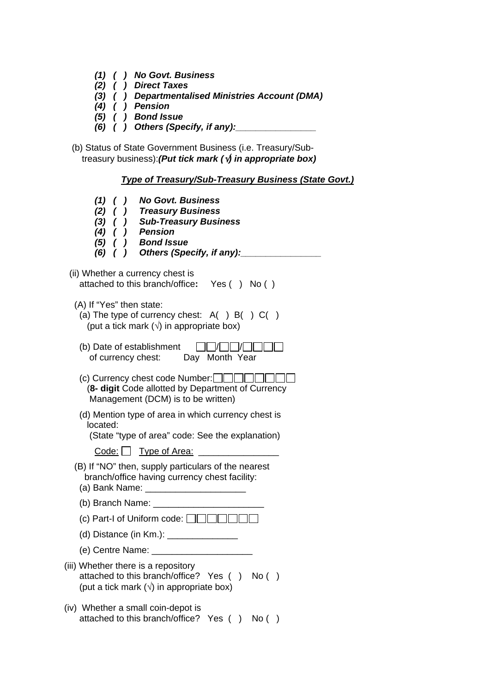- *(1) ( ) No Govt. Business*
- *(2) ( ) Direct Taxes*
- *(3) ( ) Departmentalised Ministries Account (DMA)*
- *(4) ( ) Pension*
- *(5) ( ) Bond Issue* 
	- *(6) ( ) Others (Specify, if any):\_\_\_\_\_\_\_\_\_\_\_\_\_\_\_\_*

 (b) Status of State Government Business (i.e. Treasury/Sub treasury business):*(Put tick mark (*√*) in appropriate box)* 

## *Type of Treasury/Sub-Treasury Business (State Govt.)*

| (1) ( ) No Govt. Business<br>(2) ( ) Treasury Business<br>(3) ( ) Sub-Treasury Business<br>$(4)$ ( ) Pension<br>(5) ( ) Bond Issue<br>(6) ( ) Others (Specify, if any):      |
|------------------------------------------------------------------------------------------------------------------------------------------------------------------------------|
| (ii) Whether a currency chest is<br>attached to this branch/office: Yes () No ()                                                                                             |
| (A) If "Yes" then state:<br>(a) The type of currency chest: $A( ) B( ) C( )$<br>(put a tick mark $(\sqrt{})$ in appropriate box)                                             |
| (b) Date of establishment<br>of currency chest: Day Month Year                                                                                                               |
| (c) Currency chest code Number: $\Box$ $\Box$<br>(8- digit Code allotted by Department of Currency<br>Management (DCM) is to be written)                                     |
| (d) Mention type of area in which currency chest is<br>located:<br>(State "type of area" code: See the explanation)                                                          |
| $\overline{\text{Code}}$ : $\Box$ Type of Area:                                                                                                                              |
| (B) If "NO" then, supply particulars of the nearest<br>branch/office having currency chest facility:<br>(a) Bank Name:<br><u> 1980 - John Stone, Amerikaansk politiker (</u> |
| (b) Branch Name: $\sqrt{ }$                                                                                                                                                  |
| (c) Part-I of Uniform code: $\Box$                                                                                                                                           |
| (d) Distance (in Km.): _________                                                                                                                                             |
| (e) Centre Name:                                                                                                                                                             |
| (iii) Whether there is a repository<br>attached to this branch/office? Yes () No ()<br>(put a tick mark $(\sqrt{})$ in appropriate box)                                      |
| (iv) Whether a small coin-depot is<br>attached to this branch/office? Yes ()<br>No( )                                                                                        |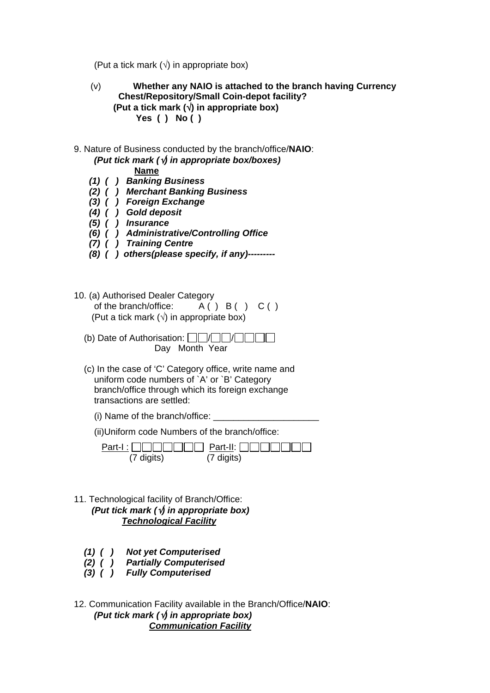(Put a tick mark  $(\sqrt{})$  in appropriate box)

- (v) **Whether any NAIO is attached to the branch having Currency Chest/Repository/Small Coin-depot facility? (Put a tick mark (**√**) in appropriate box) Yes ( ) No ( )**
- 9. Nature of Business conducted by the branch/office/**NAIO**: *(Put tick mark (*√*) in appropriate box/boxes)*

## **Name**

- *(1) ( ) Banking Business*
- *(2) ( ) Merchant Banking Business*
- *(3) ( ) Foreign Exchange*
- *(4) ( ) Gold deposit*
- *(5) ( ) Insurance* 
	- *(6) ( ) Administrative/Controlling Office*
	- *(7) ( ) Training Centre*
	- *(8) ( ) others(please specify, if any)---------*
- 10. (a) Authorised Dealer Category of the branch/office:  $A() B() C()$ (Put a tick mark  $(\sqrt{})$  in appropriate box)
	- (b) Date of Authorisation:  $\Box$  $\Box$  $\Box$  $\Box$  $\Box$  $\Box$ Day Month Year
	- (c) In the case of 'C' Category office, write name and uniform code numbers of `A' or `B' Category branch/office through which its foreign exchange transactions are settled:
		- (i) Name of the branch/office:

(ii)Uniform code Numbers of the branch/office:

|            | $Part-I: \Box \Box \Box \Box \Box \Box \Box$ Part-II: $\Box \Box \Box \Box \Box \Box$ |
|------------|---------------------------------------------------------------------------------------|
| (7 digits) | (7 digits)                                                                            |

- 11. Technological facility of Branch/Office: *(Put tick mark (*√*) in appropriate box) Technological Facility*
	- *(1) ( ) Not yet Computerised*
- *(2) ( ) Partially Computerised*
- *(3) ( ) Fully Computerised*
- 12. Communication Facility available in the Branch/Office/**NAIO**: *(Put tick mark (*√*) in appropriate box) Communication Facility*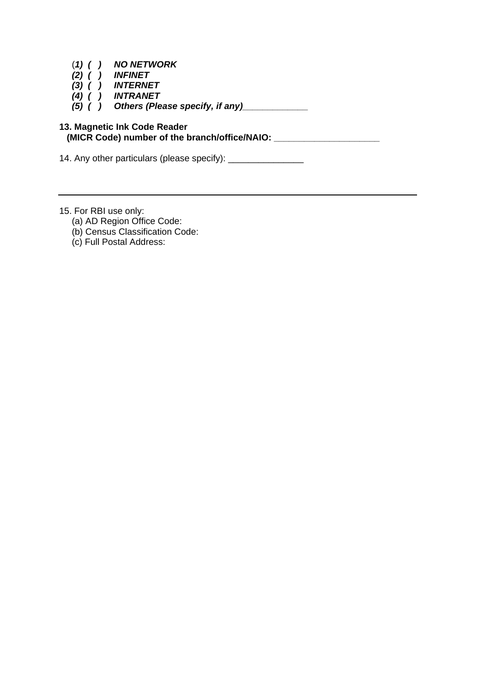- (*1) ( ) NO NETWORK*
- *(2) ( ) INFINET*
- *(3) ( ) INTERNET*
- *(4) ( ) INTRANET*
- *(5) ( ) Others (Please specify, if any)\_\_\_\_\_\_\_\_\_\_\_\_\_*

### **13. Magnetic Ink Code Reader (MICR Code) number of the branch/office/NAIO: \_\_\_\_\_\_\_\_\_\_\_\_\_\_\_\_\_\_\_\_\_**

14. Any other particulars (please specify): \_\_\_\_\_\_\_\_\_\_\_\_\_\_\_

- 15. For RBI use only:
	- (a) AD Region Office Code:
	- (b) Census Classification Code:
	- (c) Full Postal Address: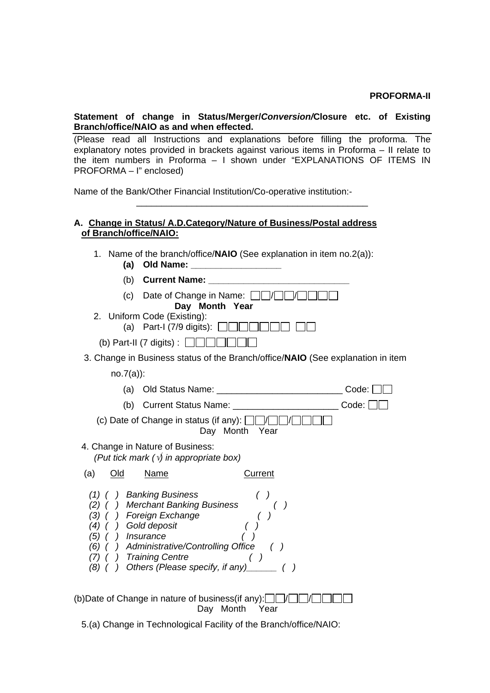#### **PROFORMA-II**

#### **Statement of change in Status/Merger/***Conversion/***Closure etc. of Existing Branch/office/NAIO as and when effected.**

(Please read all Instructions and explanations before filling the proforma. The explanatory notes provided in brackets against various items in Proforma – II relate to the item numbers in Proforma – I shown under "EXPLANATIONS OF ITEMS IN PROFORMA – I" enclosed)

\_\_\_\_\_\_\_\_\_\_\_\_\_\_\_\_\_\_\_\_\_\_\_\_\_\_\_\_\_\_\_\_\_\_\_\_\_\_\_\_\_\_\_\_\_\_

Name of the Bank/Other Financial Institution/Co-operative institution:-

#### **A. Change in Status/ A.D.Category/Nature of Business/Postal address of Branch/office/NAIO:**

1. Name of the branch/office/**NAIO** (See explanation in item no.2(a)):

| (a)                                                         | Old Name:                                                                                                                                                                                             |                |       |
|-------------------------------------------------------------|-------------------------------------------------------------------------------------------------------------------------------------------------------------------------------------------------------|----------------|-------|
| (b)                                                         | <b>Current Name:</b>                                                                                                                                                                                  |                |       |
|                                                             | (c) Date of Change in Name: $\Box$<br>Day Month Year                                                                                                                                                  |                |       |
|                                                             | 2. Uniform Code (Existing):<br>(a) Part-I (7/9 digits): $\Box$                                                                                                                                        |                |       |
|                                                             | (b) Part-II (7 digits) : $\Box$                                                                                                                                                                       |                |       |
|                                                             | 3. Change in Business status of the Branch/office/NAIO (See explanation in item                                                                                                                       |                |       |
| $no.7(a)$ :                                                 |                                                                                                                                                                                                       |                |       |
| (a)                                                         |                                                                                                                                                                                                       |                | Code: |
| (b)                                                         |                                                                                                                                                                                                       |                | Code: |
|                                                             | (c) Date of Change in status (if any): $\Box$                                                                                                                                                         | Day Month Year |       |
|                                                             | 4. Change in Nature of Business:<br>(Put tick mark $(\sqrt{y})$ in appropriate box)                                                                                                                   |                |       |
| (a)<br>Old                                                  | Name                                                                                                                                                                                                  | Current        |       |
| (1)<br>(3)<br>(4)<br>(5) ( ) Insurance<br>(6)<br>(7)<br>(8) | ) Banking Business<br>) Merchant Banking Business<br>) Foreign Exchange<br>) Gold deposit<br>) Administrative/Controlling Office ( )<br>) Training Centre<br>) Others (Please specify, if any) ______ | ( )            |       |

(b)Date of Change in nature of business(if any): $\Box$  $\Box$  $\Box$  $\Box$  $\Box$  $\Box$ Day Month Year

5.(a) Change in Technological Facility of the Branch/office/NAIO: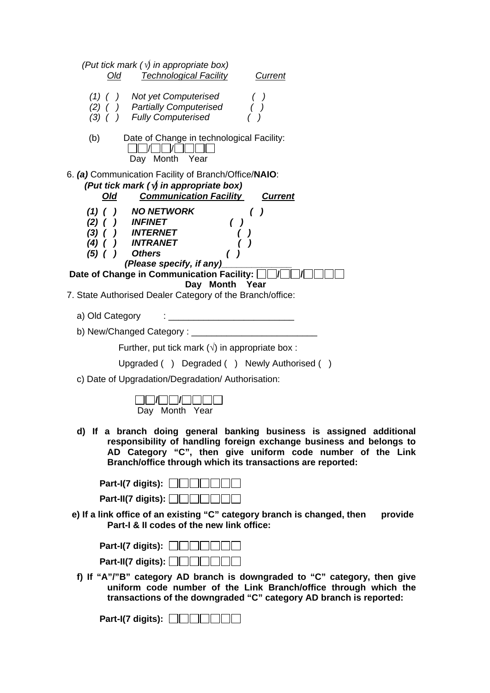| (Put tick mark $(\sqrt{y})$ in appropriate box)<br><b>Technological Facility</b><br>Old<br>Current                                                                                                                                                                      |
|-------------------------------------------------------------------------------------------------------------------------------------------------------------------------------------------------------------------------------------------------------------------------|
| (1) ( ) Not yet Computerised<br>(2) ( ) Partially Computerised<br>(3) ( ) Fully Computerised                                                                                                                                                                            |
| Date of Change in technological Facility:<br>(b)<br>Day Month Year                                                                                                                                                                                                      |
| 6. (a) Communication Facility of Branch/Office/NAIO:<br>(Put tick mark $(\sqrt{y})$ in appropriate box)<br><b>Communication Facility</b><br><u>Old</u><br><b>Current</b>                                                                                                |
| NO NETWORK<br>$(1)$ (<br>$\left( \quad \right)$<br><i><b>INFINET</b></i><br>$(2)$ (<br><i><b>INTERNET</b></i><br>(3)<br>INTRANET<br>(4)<br><b>Others</b><br>$(5)$ ( )<br>(Please specify, if any)                                                                       |
| Date of Change in Communication Facility:  <br>Day Month<br>Year<br>7. State Authorised Dealer Category of the Branch/office:                                                                                                                                           |
|                                                                                                                                                                                                                                                                         |
| <u> 1980 - Jan Stein Stein Stein Stein Stein Stein Stein Stein Stein Stein Stein Stein Stein Stein Stein Stein S</u><br>a) Old Category                                                                                                                                 |
|                                                                                                                                                                                                                                                                         |
| Further, put tick mark $(\sqrt{})$ in appropriate box :                                                                                                                                                                                                                 |
| Upgraded () Degraded () Newly Authorised ()<br>c) Date of Upgradation/Degradation/Authorisation:                                                                                                                                                                        |
| Day Month Year                                                                                                                                                                                                                                                          |
| d) If a branch doing general banking business is assigned additional<br>responsibility of handling foreign exchange business and belongs to<br>AD Category "C", then give uniform code number of the Link<br>Branch/office through which its transactions are reported: |
| Part-I(7 digits): $\Box$                                                                                                                                                                                                                                                |
| Part-II(7 digits): $\Box$                                                                                                                                                                                                                                               |
| e) If a link office of an existing "C" category branch is changed, then<br>provide<br>Part-I & II codes of the new link office:                                                                                                                                         |
| Part-I(7 digits): $\vert$                                                                                                                                                                                                                                               |
| Part-II(7 digits): $\Box$                                                                                                                                                                                                                                               |
| f) If "A"/"B" category AD branch is downgraded to "C" category, then give<br>uniform code number of the Link Branch/office through which the<br>transactions of the downgraded "C" category AD branch is reported:                                                      |
| Part-I(7 digits): $\lfloor$                                                                                                                                                                                                                                             |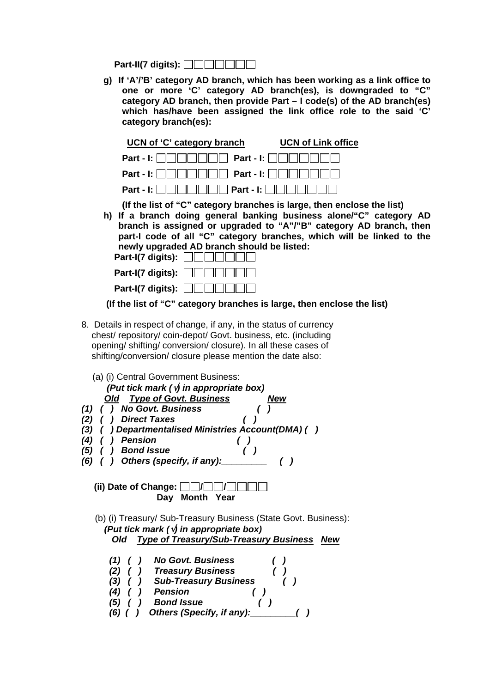**Part-II(7 digits):** 

**g) If 'A'/'B' category AD branch, which has been working as a link office to one or more 'C' category AD branch(es), is downgraded to "C" category AD branch, then provide Part – I code(s) of the AD branch(es) which has/have been assigned the link office role to the said 'C' category branch(es):** 

| UCN of 'C' category branch                                                  | <b>UCN of Link office</b> |
|-----------------------------------------------------------------------------|---------------------------|
| Part - I: $\Box$ $\Box$ $\Box$ $\Box$ Part - I: $\Box$ $\Box$ $\Box$ $\Box$ |                           |
| Part - I: $\ \cdot\ $               Part - I:                               |                           |
|                                                                             |                           |

**(If the list of "C" category branches is large, then enclose the list)** 

**h) If a branch doing general banking business alone/"C" category AD branch is assigned or upgraded to "A"/"B" category AD branch, then part-I code of all "C" category branches, which will be linked to the newly upgraded AD branch should be listed:** 

| Part-I(7 digits): $\Box$ |
|--------------------------|
| Part-I(7 digits): $\Box$ |
| Part-I(7 digits): $\Box$ |

 **(If the list of "C" category branches is large, then enclose the list)** 

- 8. Details in respect of change, if any, in the status of currency chest/ repository/ coin-depot/ Govt. business, etc. (including opening/ shifting/ conversion/ closure). In all these cases of shifting/conversion/ closure please mention the date also:
- (a) (i) Central Government Business:  *(Put tick mark (*√*) in appropriate box) Old Type of Govt. Business New*
- *(1) ( ) No Govt. Business ( )*
- *(2) ( ) Direct Taxes ( )*
- *(3) ( ) Departmentalised Ministries Account(DMA) ( )*
- *(4) ( ) Pension ( )*
- *(5) ( ) Bond Issue ( )*
- *(6) ( ) Others (specify, if any):\_\_\_\_\_\_\_\_\_ ( )*

**(ii) Date of Change:**  $\Box$   $\Box$   $\Box$   $\Box$  **Day Month Year**

 (b) (i) Treasury/ Sub-Treasury Business (State Govt. Business): *(Put tick mark (*√*) in appropriate box) Old Type of Treasury/Sub-Treasury Business New*

- *(1) ( ) No Govt. Business ( )*
- *(2) ( ) Treasury Business ( )*
- *(3) ( ) Sub-Treasury Business ( ) (4) ( ) Pension ( )* 
	- *(5) ( ) Bond Issue ( )*
	- *(6) ( ) Others (Specify, if any):\_\_\_\_\_\_\_\_\_( )*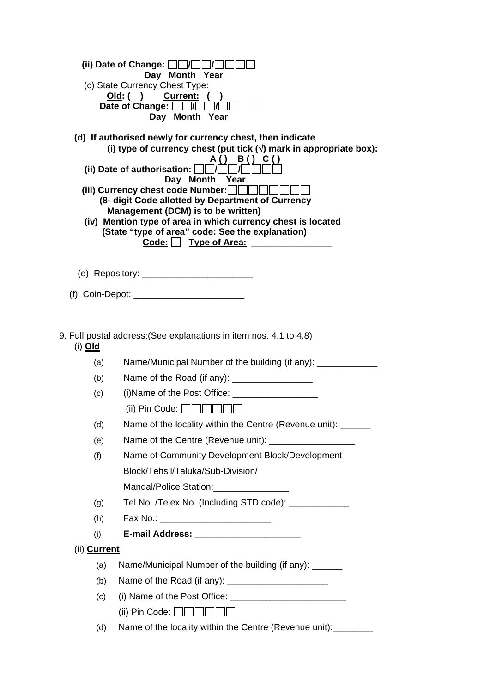|                                                                  | (ii) Date of Change: $\Box$ $\Box$<br>Day Month Year<br>(c) State Currency Chest Type:<br>Old: ( ) Current: (<br>Date of Change: $\Box$<br>$\sqrt{2}$<br>Day Month Year                                                                                                                                                                                                                                                                                                                                                        |
|------------------------------------------------------------------|--------------------------------------------------------------------------------------------------------------------------------------------------------------------------------------------------------------------------------------------------------------------------------------------------------------------------------------------------------------------------------------------------------------------------------------------------------------------------------------------------------------------------------|
|                                                                  | (d) If authorised newly for currency chest, then indicate<br>(i) type of currency chest (put tick $(\sqrt{})$ mark in appropriate box):<br>A() B() C()<br>(ii) Date of authorisation: $\Box$ $\Box$ $\Box$<br>Day Month Year<br>(iii) Currency chest code Number: $\Box$<br>(8- digit Code allotted by Department of Currency<br>Management (DCM) is to be written)<br>(iv) Mention type of area in which currency chest is located<br>(State "type of area" code: See the explanation)<br>Code: Type of Area: _______________ |
|                                                                  |                                                                                                                                                                                                                                                                                                                                                                                                                                                                                                                                |
|                                                                  |                                                                                                                                                                                                                                                                                                                                                                                                                                                                                                                                |
|                                                                  |                                                                                                                                                                                                                                                                                                                                                                                                                                                                                                                                |
| (i) <b>Old</b>                                                   | 9. Full postal address: (See explanations in item nos. 4.1 to 4.8)                                                                                                                                                                                                                                                                                                                                                                                                                                                             |
| (a)                                                              | Name/Municipal Number of the building (if any): _____________                                                                                                                                                                                                                                                                                                                                                                                                                                                                  |
| (b)                                                              | Name of the Road (if any): ____________________                                                                                                                                                                                                                                                                                                                                                                                                                                                                                |
| (c)                                                              |                                                                                                                                                                                                                                                                                                                                                                                                                                                                                                                                |
|                                                                  | (ii) Pin Code: $\Box$ $\Box$ $\Box$ $\Box$ $\Box$                                                                                                                                                                                                                                                                                                                                                                                                                                                                              |
| (d)                                                              | Name of the locality within the Centre (Revenue unit): ______                                                                                                                                                                                                                                                                                                                                                                                                                                                                  |
| (e)                                                              | Name of the Centre (Revenue unit): _____________________                                                                                                                                                                                                                                                                                                                                                                                                                                                                       |
| (f)                                                              | Name of Community Development Block/Development                                                                                                                                                                                                                                                                                                                                                                                                                                                                                |
|                                                                  | Block/Tehsil/Taluka/Sub-Division/                                                                                                                                                                                                                                                                                                                                                                                                                                                                                              |
| Mandal/Police Station: _________________                         |                                                                                                                                                                                                                                                                                                                                                                                                                                                                                                                                |
| (g)                                                              | Tel.No. /Telex No. (Including STD code): ____________                                                                                                                                                                                                                                                                                                                                                                                                                                                                          |
| (h)                                                              | Fax No.: ____________________________                                                                                                                                                                                                                                                                                                                                                                                                                                                                                          |
| (i)                                                              |                                                                                                                                                                                                                                                                                                                                                                                                                                                                                                                                |
| (ii) <b>Current</b>                                              |                                                                                                                                                                                                                                                                                                                                                                                                                                                                                                                                |
| (a)                                                              | Name/Municipal Number of the building (if any): ______                                                                                                                                                                                                                                                                                                                                                                                                                                                                         |
| (b)                                                              |                                                                                                                                                                                                                                                                                                                                                                                                                                                                                                                                |
| (c)                                                              |                                                                                                                                                                                                                                                                                                                                                                                                                                                                                                                                |
|                                                                  | (ii) Pin Code: $\Box$ $\Box$ $\Box$ $\Box$ $\Box$ $\Box$                                                                                                                                                                                                                                                                                                                                                                                                                                                                       |
| Name of the locality within the Centre (Revenue unit):___<br>(d) |                                                                                                                                                                                                                                                                                                                                                                                                                                                                                                                                |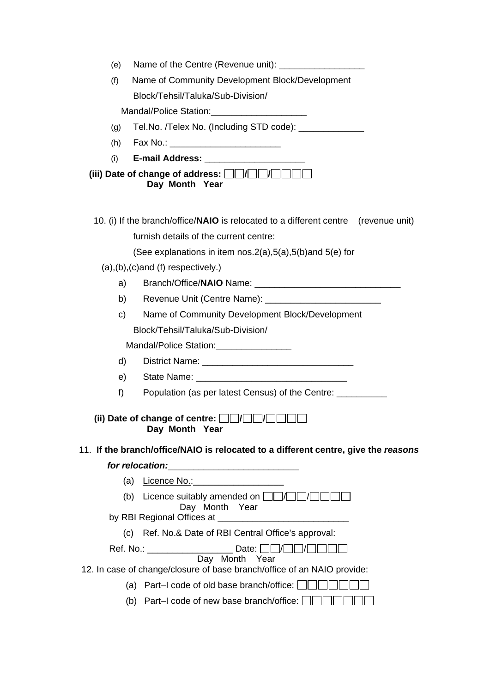| (e) |                                                                                     |
|-----|-------------------------------------------------------------------------------------|
| (f) | Name of Community Development Block/Development                                     |
|     | Block/Tehsil/Taluka/Sub-Division/                                                   |
|     | Mandal/Police Station: Mandal/Police Station:                                       |
| (g) | Tel.No. /Telex No. (Including STD code): ____________                               |
| (h) |                                                                                     |
| (i) | E-mail Address: _______________________                                             |
|     | (iii) Date of change of address: $\Box\Box/\Box\Box/\Box\Box\Box$<br>Day Month Year |
|     | 10. (i) If the branch/office/NAIO is relocated to a different centre (revenue unit) |
|     | furnish details of the current centre:                                              |
|     | (See explanations in item nos. $2(a)$ , $5(a)$ , $5(b)$ and $5(e)$ for              |
|     | $(a), (b), (c)$ and $(f)$ respectively.)                                            |
| a)  |                                                                                     |
| b)  |                                                                                     |
| c)  | Name of Community Development Block/Development                                     |
|     | Block/Tehsil/Taluka/Sub-Division/                                                   |
|     | Mandal/Police Station: ___________________                                          |
| d)  |                                                                                     |
| e)  |                                                                                     |
| f)  | Population (as per latest Census) of the Centre: ___________                        |
|     | (ii) Date of change of centre: $\Box$ $\Box$<br>Day Month Year                      |
|     | 11. If the branch/office/NAIO is relocated to a different centre, give the reasons  |
|     |                                                                                     |
| (a) | <u>Licence No.: ______________________</u>                                          |
|     | Licence suitably amended on <b>FIPIPIPI</b><br>(b)<br>Day Month Year                |
|     |                                                                                     |
| (C) | Ref. No.& Date of RBI Central Office's approval:                                    |
|     | Day Month Year                                                                      |
|     | 12. In case of change/closure of base branch/office of an NAIO provide:             |
|     | (a) Part-I code of old base branch/office: $\Box$                                   |
|     | (b) Part–I code of new base branch/office: $\Box$                                   |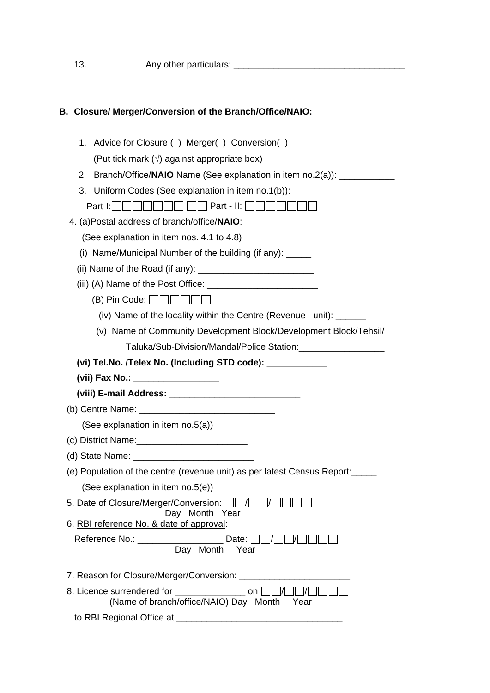## **B. Closure/ Merger/***C***onversion of the Branch/Office/NAIO:**

| 1. Advice for Closure () Merger() Conversion()                                                                 |
|----------------------------------------------------------------------------------------------------------------|
| (Put tick mark $(\sqrt{})$ against appropriate box)                                                            |
| Branch/Office/NAIO Name (See explanation in item no.2(a)): ____________<br>2.                                  |
| Uniform Codes (See explanation in item no.1(b)):<br>3.                                                         |
| Part-I: $\Box \Box \Box \Box \Box \Box \Box \Box \Box \Box$ Part - II: $\Box \Box \Box$                        |
| 4. (a)Postal address of branch/office/NAIO:                                                                    |
| (See explanation in item nos. 4.1 to 4.8)                                                                      |
| (i) Name/Municipal Number of the building (if any): _____                                                      |
|                                                                                                                |
|                                                                                                                |
| $(B)$ Pin Code: $\Box$                                                                                         |
| (iv) Name of the locality within the Centre (Revenue unit): ______                                             |
| (v) Name of Community Development Block/Development Block/Tehsil/                                              |
|                                                                                                                |
| (vi) Tel.No. /Telex No. (Including STD code): _____________                                                    |
| (vii) Fax No.: ___________________                                                                             |
|                                                                                                                |
|                                                                                                                |
| (See explanation in item no.5(a))                                                                              |
|                                                                                                                |
|                                                                                                                |
| (e) Population of the centre (revenue unit) as per latest Census Report:                                       |
| (See explanation in item no.5(e))                                                                              |
| 5. Date of Closure/Merger/Conversion: <b>OD/OD</b><br>Day Month Year                                           |
| 6. RBI reference No. & date of approval:                                                                       |
|                                                                                                                |
| Reference No.: __________________________ Date: □□/□□                                                          |
| Day Month Year                                                                                                 |
|                                                                                                                |
| 8. Licence surrendered for __________________ on [<br>$\Box$<br>(Name of branch/office/NAIO) Day Month<br>Year |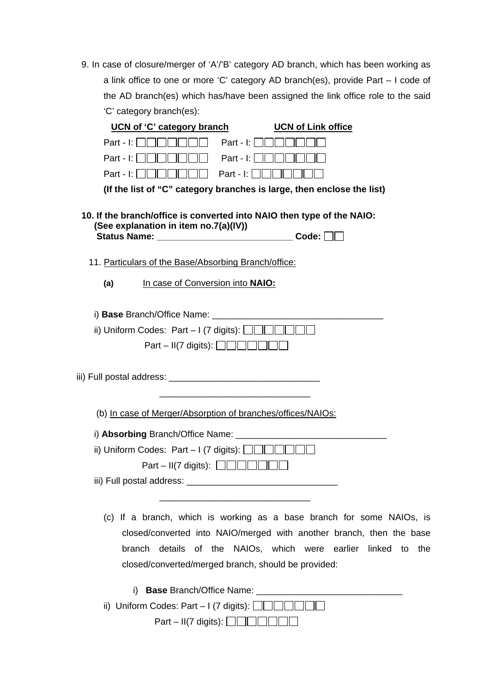9. In case of closure/merger of 'A'/'B' category AD branch, which has been working as a link office to one or more 'C' category AD branch(es), provide Part – I code of the AD branch(es) which has/have been assigned the link office role to the said 'C' category branch(es):

| UCN of 'C' category branch<br><b>UCN of Link office</b>                                                                                                                                                                                                               |
|-----------------------------------------------------------------------------------------------------------------------------------------------------------------------------------------------------------------------------------------------------------------------|
| Part - I: $\Box$<br>Part - I: $\ \ \ $                                                                                                                                                                                                                                |
| Part - $\ \cdot\ $<br>Part - $\ \cdot\ $                                                                                                                                                                                                                              |
| Part - $\mathsf{L}$<br>Part - $\ \cdot\ $                                                                                                                                                                                                                             |
| (If the list of "C" category branches is large, then enclose the list)                                                                                                                                                                                                |
| 10. If the branch/office is converted into NAIO then type of the NAIO:<br>(See explanation in item no.7(a)(IV))<br>Code:<br><b>Status Name:</b>                                                                                                                       |
| 11. Particulars of the Base/Absorbing Branch/office:                                                                                                                                                                                                                  |
| In case of Conversion into NAIO:<br>(a)                                                                                                                                                                                                                               |
|                                                                                                                                                                                                                                                                       |
| i) Base Branch/Office Name: The Contract of the Contract of the Contract of the Contract of the Contract of the Contract of the Contract of the Contract of the Contract of the Contract of the Contract of the Contract of th                                        |
| ii) Uniform Codes: Part - I (7 digits): $\Box$                                                                                                                                                                                                                        |
| Part – II(7 digits): $\Box$                                                                                                                                                                                                                                           |
|                                                                                                                                                                                                                                                                       |
|                                                                                                                                                                                                                                                                       |
|                                                                                                                                                                                                                                                                       |
| (b) In case of Merger/Absorption of branches/offices/NAIOs:                                                                                                                                                                                                           |
|                                                                                                                                                                                                                                                                       |
| ii) Uniform Codes: Part - I (7 digits): $\Box$                                                                                                                                                                                                                        |
| Part – II(7 digits): $\Box$                                                                                                                                                                                                                                           |
| iii) Full postal address:                                                                                                                                                                                                                                             |
|                                                                                                                                                                                                                                                                       |
| (c) If a branch, which is working as a base branch for some NAIOs, is<br>closed/converted into NAIO/merged with another branch, then the base<br>branch details of the NAIOs, which were earlier linked to the<br>closed/converted/merged branch, should be provided: |
| i)                                                                                                                                                                                                                                                                    |
| ii) Uniform Codes: Part - I (7 digits): L                                                                                                                                                                                                                             |
| $Part - II(7 \text{ digits}): \Box \Box \Box \Box$                                                                                                                                                                                                                    |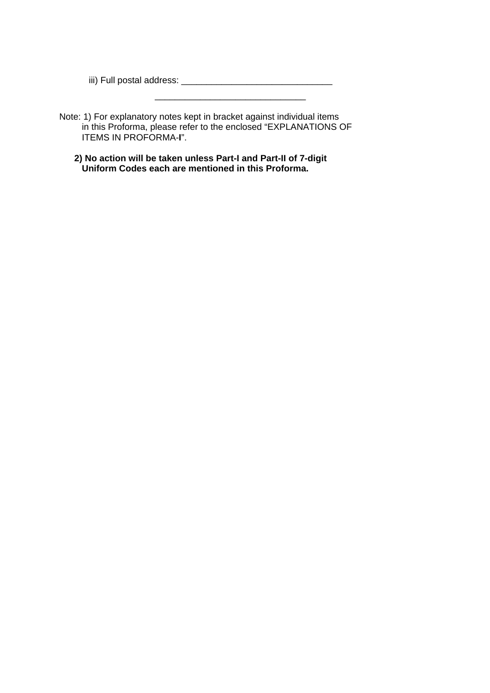iii) Full postal address: \_\_\_\_\_\_\_\_\_\_\_\_\_\_\_\_\_\_\_\_\_\_\_\_\_\_\_\_\_\_

Note: 1) For explanatory notes kept in bracket against individual items in this Proforma, please refer to the enclosed "EXPLANATIONS OF ITEMS IN PROFORMA-**I**".

 $\overline{\phantom{a}}$  , and the contract of the contract of the contract of the contract of the contract of the contract of the contract of the contract of the contract of the contract of the contract of the contract of the contrac

 **2) No action will be taken unless Part-I and Part-II of 7-digit Uniform Codes each are mentioned in this Proforma.**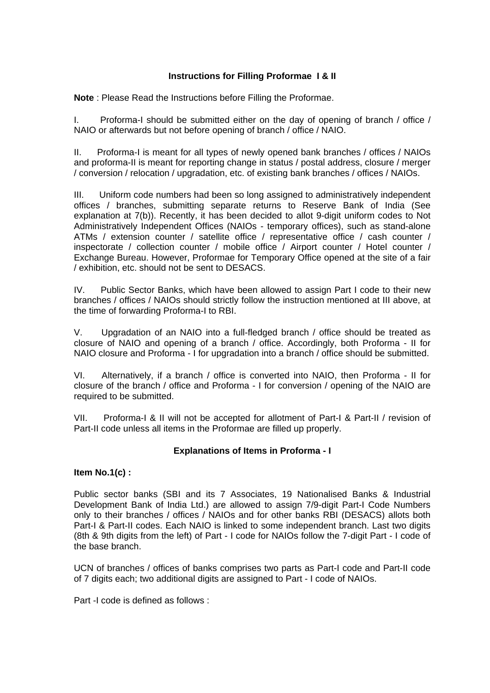## **Instructions for Filling Proformae I & II**

**Note** : Please Read the Instructions before Filling the Proformae.

I. Proforma-I should be submitted either on the day of opening of branch / office / NAIO or afterwards but not before opening of branch / office / NAIO.

II. Proforma-I is meant for all types of newly opened bank branches / offices / NAIOs and proforma-II is meant for reporting change in status / postal address, closure / merger / conversion / relocation / upgradation, etc. of existing bank branches / offices / NAIOs.

III. Uniform code numbers had been so long assigned to administratively independent offices / branches, submitting separate returns to Reserve Bank of India (See explanation at 7(b)). Recently, it has been decided to allot 9-digit uniform codes to Not Administratively Independent Offices (NAIOs - temporary offices), such as stand-alone ATMs / extension counter / satellite office / representative office / cash counter / inspectorate / collection counter / mobile office / Airport counter / Hotel counter / Exchange Bureau. However, Proformae for Temporary Office opened at the site of a fair / exhibition, etc. should not be sent to DESACS.

IV. Public Sector Banks, which have been allowed to assign Part I code to their new branches / offices / NAIOs should strictly follow the instruction mentioned at III above, at the time of forwarding Proforma-I to RBI.

V. Upgradation of an NAIO into a full-fledged branch / office should be treated as closure of NAIO and opening of a branch / office. Accordingly, both Proforma - II for NAIO closure and Proforma - I for upgradation into a branch / office should be submitted.

VI. Alternatively, if a branch / office is converted into NAIO, then Proforma - II for closure of the branch / office and Proforma - I for conversion / opening of the NAIO are required to be submitted.

VII. Proforma-I & II will not be accepted for allotment of Part-I & Part-II / revision of Part-II code unless all items in the Proformae are filled up properly.

## **Explanations of Items in Proforma - I**

**Item No.1(c) :**

Public sector banks (SBI and its 7 Associates, 19 Nationalised Banks & Industrial Development Bank of India Ltd.) are allowed to assign 7/9-digit Part-I Code Numbers only to their branches / offices / NAIOs and for other banks RBI (DESACS) allots both Part-I & Part-II codes. Each NAIO is linked to some independent branch. Last two digits (8th & 9th digits from the left) of Part - I code for NAIOs follow the 7-digit Part - I code of the base branch.

UCN of branches / offices of banks comprises two parts as Part-I code and Part-II code of 7 digits each; two additional digits are assigned to Part - I code of NAIOs.

Part -I code is defined as follows :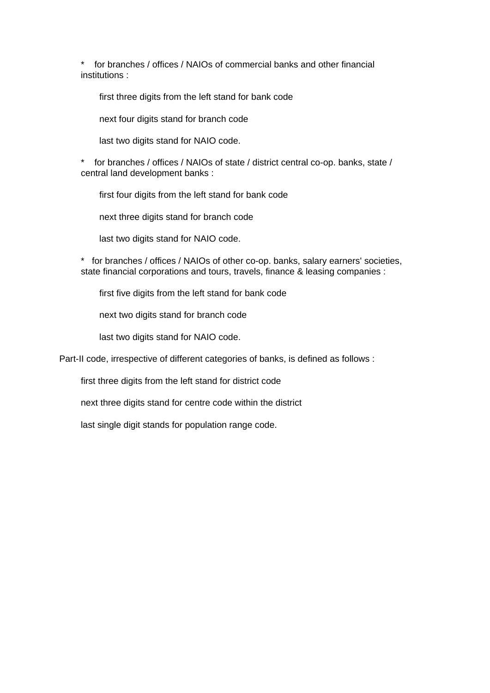\* for branches / offices / NAIOs of commercial banks and other financial institutions :

first three digits from the left stand for bank code

next four digits stand for branch code

last two digits stand for NAIO code.

for branches / offices / NAIOs of state / district central co-op. banks, state / central land development banks :

first four digits from the left stand for bank code

next three digits stand for branch code

last two digits stand for NAIO code.

\* for branches / offices / NAIOs of other co-op. banks, salary earners' societies, state financial corporations and tours, travels, finance & leasing companies :

first five digits from the left stand for bank code

next two digits stand for branch code

last two digits stand for NAIO code.

Part-II code, irrespective of different categories of banks, is defined as follows :

first three digits from the left stand for district code

next three digits stand for centre code within the district

last single digit stands for population range code.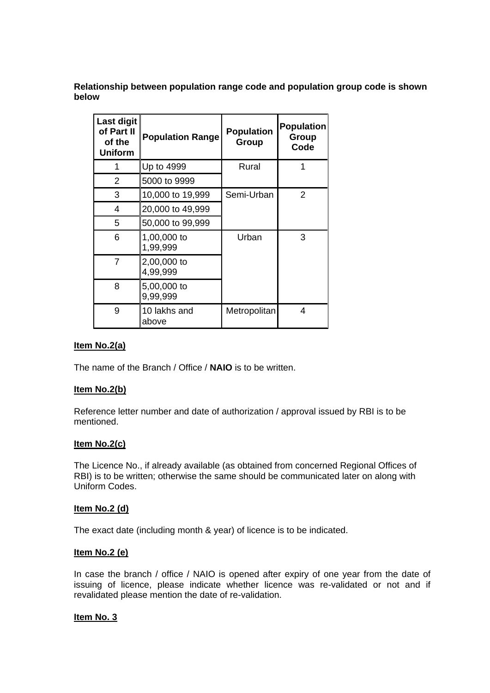**Relationship between population range code and population group code is shown below**

| <b>Last digit</b><br>of Part II<br>of the<br><b>Uniform</b> | <b>Population Range</b> | <b>Population</b><br>Group | <b>Population</b><br>Group<br>Code |
|-------------------------------------------------------------|-------------------------|----------------------------|------------------------------------|
|                                                             | Up to 4999              | Rural                      |                                    |
| $\overline{2}$                                              | 5000 to 9999            |                            |                                    |
| 3                                                           | 10,000 to 19,999        | Semi-Urban                 | 2                                  |
| 4                                                           | 20,000 to 49,999        |                            |                                    |
| 5                                                           | 50,000 to 99,999        |                            |                                    |
| 6                                                           | 1,00,000 to<br>1,99,999 | Urban                      | 3                                  |
| 7                                                           | 2,00,000 to<br>4,99,999 |                            |                                    |
| 8                                                           | 5,00,000 to<br>9,99,999 |                            |                                    |
| 9                                                           | 10 lakhs and<br>above   | Metropolitan               | 4                                  |

#### **Item No.2(a)**

The name of the Branch / Office / **NAIO** is to be written.

#### **Item No.2(b)**

Reference letter number and date of authorization / approval issued by RBI is to be mentioned.

#### **Item No.2(c)**

The Licence No., if already available (as obtained from concerned Regional Offices of RBI) is to be written; otherwise the same should be communicated later on along with Uniform Codes.

#### **Item No.2 (d)**

The exact date (including month & year) of licence is to be indicated.

#### **Item No.2 (e)**

In case the branch / office / NAIO is opened after expiry of one year from the date of issuing of licence, please indicate whether licence was re-validated or not and if revalidated please mention the date of re-validation.

#### **Item No. 3**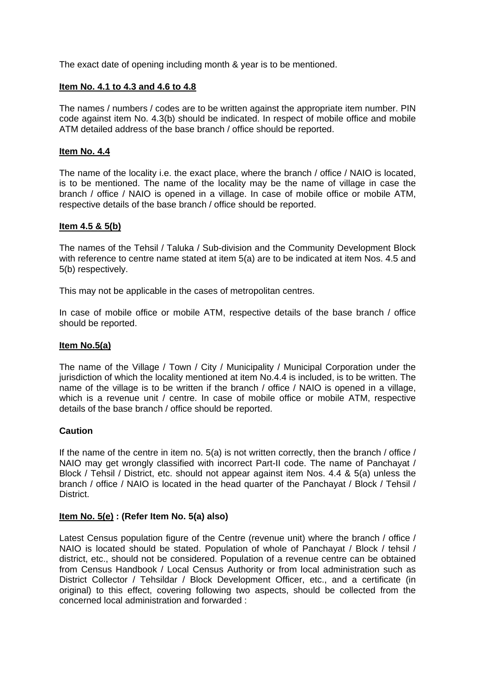The exact date of opening including month & year is to be mentioned.

#### **Item No. 4.1 to 4.3 and 4.6 to 4.8**

The names / numbers / codes are to be written against the appropriate item number. PIN code against item No. 4.3(b) should be indicated. In respect of mobile office and mobile ATM detailed address of the base branch / office should be reported.

#### **Item No. 4.4**

The name of the locality i.e. the exact place, where the branch / office / NAIO is located, is to be mentioned. The name of the locality may be the name of village in case the branch / office / NAIO is opened in a village. In case of mobile office or mobile ATM, respective details of the base branch / office should be reported.

#### **Item 4.5 & 5(b)**

The names of the Tehsil / Taluka / Sub-division and the Community Development Block with reference to centre name stated at item 5(a) are to be indicated at item Nos. 4.5 and 5(b) respectively.

This may not be applicable in the cases of metropolitan centres.

In case of mobile office or mobile ATM, respective details of the base branch / office should be reported.

#### **Item No.5(a)**

The name of the Village / Town / City / Municipality / Municipal Corporation under the jurisdiction of which the locality mentioned at item No.4.4 is included, is to be written. The name of the village is to be written if the branch / office / NAIO is opened in a village, which is a revenue unit / centre. In case of mobile office or mobile ATM, respective details of the base branch / office should be reported.

### **Caution**

If the name of the centre in item no. 5(a) is not written correctly, then the branch / office / NAIO may get wrongly classified with incorrect Part-II code. The name of Panchayat / Block / Tehsil / District, etc. should not appear against item Nos. 4.4 & 5(a) unless the branch / office / NAIO is located in the head quarter of the Panchayat / Block / Tehsil / District.

#### **Item No. 5(e) : (Refer Item No. 5(a) also)**

Latest Census population figure of the Centre (revenue unit) where the branch / office / NAIO is located should be stated. Population of whole of Panchayat / Block / tehsil / district, etc., should not be considered. Population of a revenue centre can be obtained from Census Handbook / Local Census Authority or from local administration such as District Collector / Tehsildar / Block Development Officer, etc., and a certificate (in original) to this effect, covering following two aspects, should be collected from the concerned local administration and forwarded :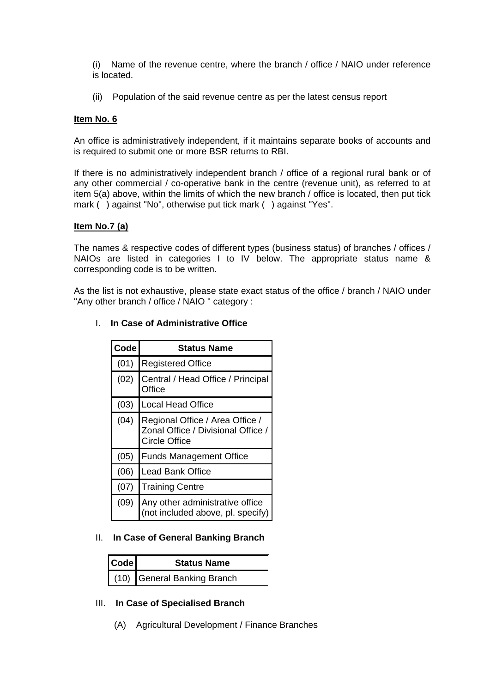(i) Name of the revenue centre, where the branch / office / NAIO under reference is located.

(ii) Population of the said revenue centre as per the latest census report

#### **Item No. 6**

An office is administratively independent, if it maintains separate books of accounts and is required to submit one or more BSR returns to RBI.

If there is no administratively independent branch / office of a regional rural bank or of any other commercial / co-operative bank in the centre (revenue unit), as referred to at item 5(a) above, within the limits of which the new branch / office is located, then put tick mark () against "No", otherwise put tick mark () against "Yes".

#### **Item No.7 (a)**

The names & respective codes of different types (business status) of branches / offices / NAIOs are listed in categories I to IV below. The appropriate status name & corresponding code is to be written.

As the list is not exhaustive, please state exact status of the office / branch / NAIO under "Any other branch / office / NAIO " category :

| Code | <b>Status Name</b>                                                                            |  |  |  |  |
|------|-----------------------------------------------------------------------------------------------|--|--|--|--|
| (01) | <b>Registered Office</b>                                                                      |  |  |  |  |
| (02) | Central / Head Office / Principal<br>Office                                                   |  |  |  |  |
| (03) | <b>Local Head Office</b>                                                                      |  |  |  |  |
| (04) | Regional Office / Area Office /<br>Zonal Office / Divisional Office /<br><b>Circle Office</b> |  |  |  |  |
| (05) | <b>Funds Management Office</b>                                                                |  |  |  |  |
| (06) | <b>Lead Bank Office</b>                                                                       |  |  |  |  |
| (07) | <b>Training Centre</b>                                                                        |  |  |  |  |
| (09) | Any other administrative office<br>(not included above, pl. specify)                          |  |  |  |  |

## I. **In Case of Administrative Office**

#### II. **In Case of General Banking Branch**

| <b>Code</b> | <b>Status Name</b>          |  |
|-------------|-----------------------------|--|
|             | (10) General Banking Branch |  |

## III. **In Case of Specialised Branch**

(A) Agricultural Development / Finance Branches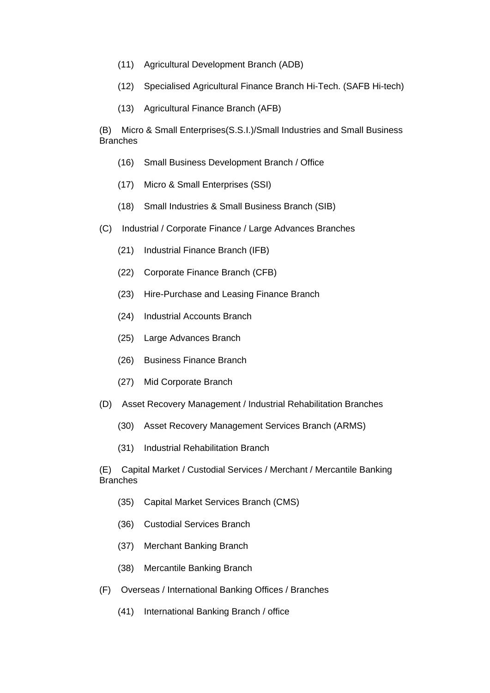- (11) Agricultural Development Branch (ADB)
- (12) Specialised Agricultural Finance Branch Hi-Tech. (SAFB Hi-tech)
- (13) Agricultural Finance Branch (AFB)

(B) Micro & Small Enterprises(S.S.I.)/Small Industries and Small Business **Branches** 

- (16) Small Business Development Branch / Office
- (17) Micro & Small Enterprises (SSI)
- (18) Small Industries & Small Business Branch (SIB)
- (C) Industrial / Corporate Finance / Large Advances Branches
	- (21) Industrial Finance Branch (IFB)
	- (22) Corporate Finance Branch (CFB)
	- (23) Hire-Purchase and Leasing Finance Branch
	- (24) Industrial Accounts Branch
	- (25) Large Advances Branch
	- (26) Business Finance Branch
	- (27) Mid Corporate Branch
- (D) Asset Recovery Management / Industrial Rehabilitation Branches
	- (30) Asset Recovery Management Services Branch (ARMS)
	- (31) Industrial Rehabilitation Branch

(E) Capital Market / Custodial Services / Merchant / Mercantile Banking **Branches** 

- (35) Capital Market Services Branch (CMS)
- (36) Custodial Services Branch
- (37) Merchant Banking Branch
- (38) Mercantile Banking Branch
- (F) Overseas / International Banking Offices / Branches
	- (41) International Banking Branch / office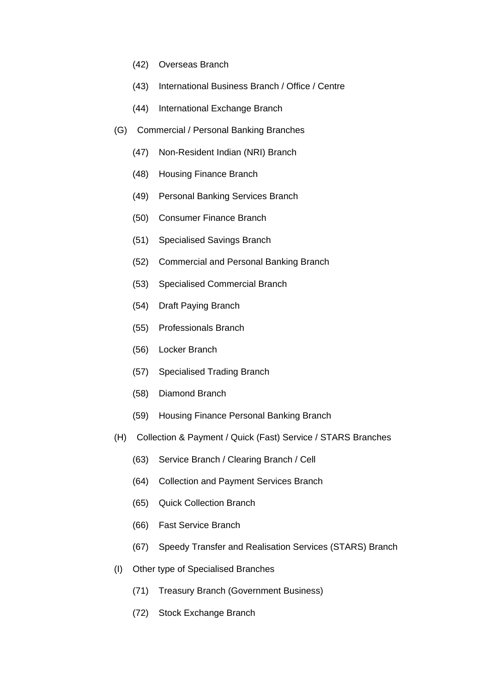- (42) Overseas Branch
- (43) International Business Branch / Office / Centre
- (44) International Exchange Branch
- (G) Commercial / Personal Banking Branches
	- (47) Non-Resident Indian (NRI) Branch
	- (48) Housing Finance Branch
	- (49) Personal Banking Services Branch
	- (50) Consumer Finance Branch
	- (51) Specialised Savings Branch
	- (52) Commercial and Personal Banking Branch
	- (53) Specialised Commercial Branch
	- (54) Draft Paying Branch
	- (55) Professionals Branch
	- (56) Locker Branch
	- (57) Specialised Trading Branch
	- (58) Diamond Branch
	- (59) Housing Finance Personal Banking Branch
- (H) Collection & Payment / Quick (Fast) Service / STARS Branches
	- (63) Service Branch / Clearing Branch / Cell
	- (64) Collection and Payment Services Branch
	- (65) Quick Collection Branch
	- (66) Fast Service Branch
	- (67) Speedy Transfer and Realisation Services (STARS) Branch
- (I) Other type of Specialised Branches
	- (71) Treasury Branch (Government Business)
	- (72) Stock Exchange Branch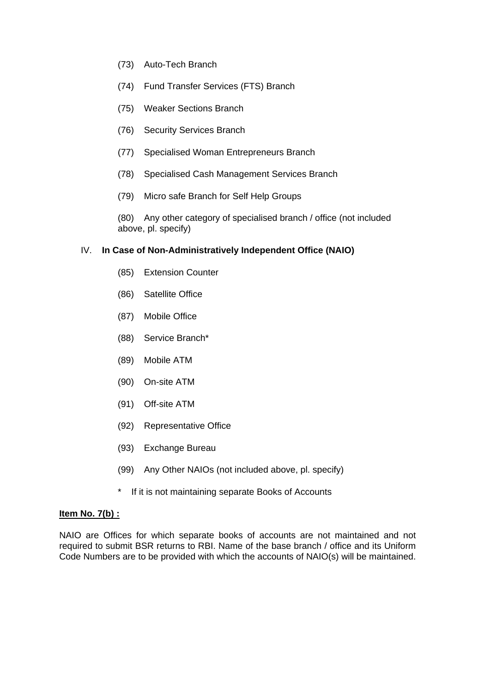- (73) Auto-Tech Branch
- (74) Fund Transfer Services (FTS) Branch
- (75) Weaker Sections Branch
- (76) Security Services Branch
- (77) Specialised Woman Entrepreneurs Branch
- (78) Specialised Cash Management Services Branch
- (79) Micro safe Branch for Self Help Groups

(80) Any other category of specialised branch / office (not included above, pl. specify)

### IV. **In Case of Non-Administratively Independent Office (NAIO)**

- (85) Extension Counter
- (86) Satellite Office
- (87) Mobile Office
- (88) Service Branch\*
- (89) Mobile ATM
- (90) On-site ATM
- (91) Off-site ATM
- (92) Representative Office
- (93) Exchange Bureau
- (99) Any Other NAIOs (not included above, pl. specify)
- \* If it is not maintaining separate Books of Accounts

#### **Item No. 7(b) :**

NAIO are Offices for which separate books of accounts are not maintained and not required to submit BSR returns to RBI. Name of the base branch / office and its Uniform Code Numbers are to be provided with which the accounts of NAIO(s) will be maintained.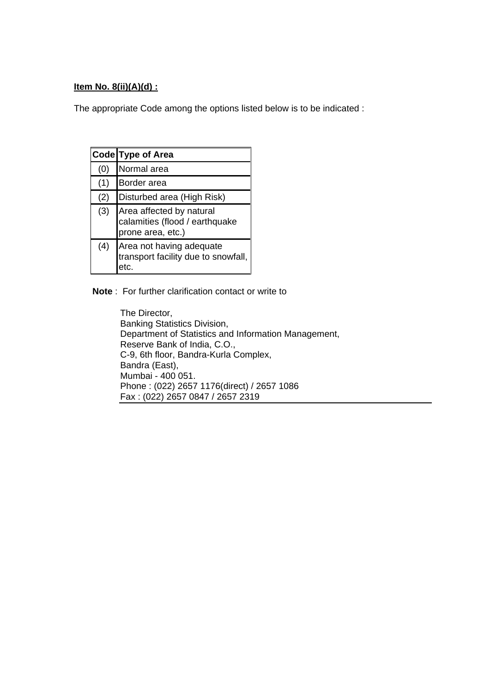## **Item No. 8(ii)(A)(d) :**

The appropriate Code among the options listed below is to be indicated :

|     | Code Type of Area                                                               |  |  |  |
|-----|---------------------------------------------------------------------------------|--|--|--|
| (0) | Normal area                                                                     |  |  |  |
| (1) | Border area                                                                     |  |  |  |
| (2) | Disturbed area (High Risk)                                                      |  |  |  |
| (3) | Area affected by natural<br>calamities (flood / earthquake<br>prone area, etc.) |  |  |  |
| (4) | Area not having adequate<br>transport facility due to snowfall,<br>etc.         |  |  |  |

**Note** : For further clarification contact or write to

The Director, Banking Statistics Division, Department of Statistics and Information Management, Reserve Bank of India, C.O., C-9, 6th floor, Bandra-Kurla Complex, Bandra (East), Mumbai - 400 051. Phone : (022) 2657 1176(direct) / 2657 1086 Fax : (022) 2657 0847 / 2657 2319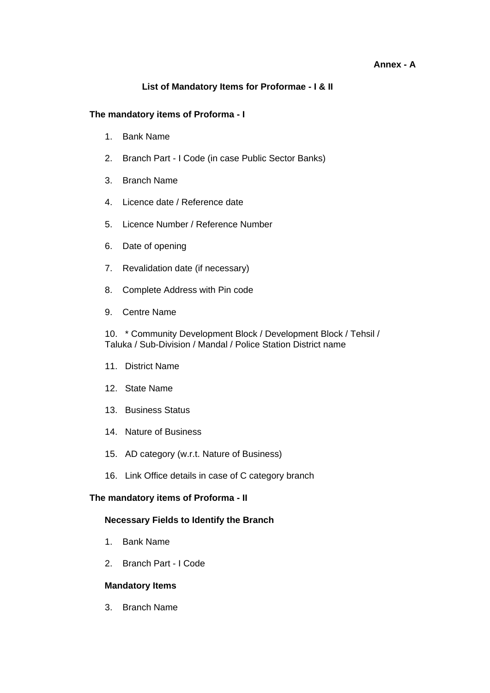#### **Annex - A**

## **List of Mandatory Items for Proformae - I & II**

#### **The mandatory items of Proforma - I**

- 1. Bank Name
- 2. Branch Part I Code (in case Public Sector Banks)
- 3. Branch Name
- 4. Licence date / Reference date
- 5. Licence Number / Reference Number
- 6. Date of opening
- 7. Revalidation date (if necessary)
- 8. Complete Address with Pin code
- 9. Centre Name

10. \* Community Development Block / Development Block / Tehsil / Taluka / Sub-Division / Mandal / Police Station District name

- 11. District Name
- 12. State Name
- 13. Business Status
- 14. Nature of Business
- 15. AD category (w.r.t. Nature of Business)
- 16. Link Office details in case of C category branch

#### **The mandatory items of Proforma - II**

#### **Necessary Fields to Identify the Branch**

- 1. Bank Name
- 2. Branch Part I Code

#### **Mandatory Items**

3. Branch Name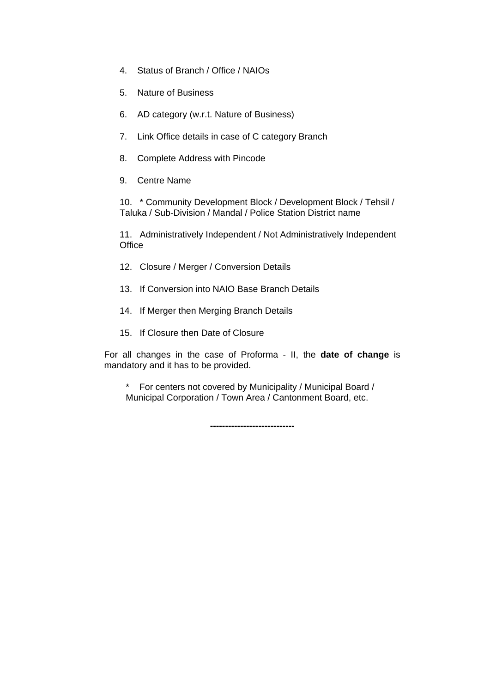- 4. Status of Branch / Office / NAIOs
- 5. Nature of Business
- 6. AD category (w.r.t. Nature of Business)
- 7. Link Office details in case of C category Branch
- 8. Complete Address with Pincode
- 9. Centre Name

10. \* Community Development Block / Development Block / Tehsil / Taluka / Sub-Division / Mandal / Police Station District name

11. Administratively Independent / Not Administratively Independent **Office** 

- 12. Closure / Merger / Conversion Details
- 13. If Conversion into NAIO Base Branch Details
- 14. If Merger then Merging Branch Details
- 15. If Closure then Date of Closure

For all changes in the case of Proforma - II, the **date of change** is mandatory and it has to be provided.

\* For centers not covered by Municipality / Municipal Board / Municipal Corporation / Town Area / Cantonment Board, etc.

**----------------------------**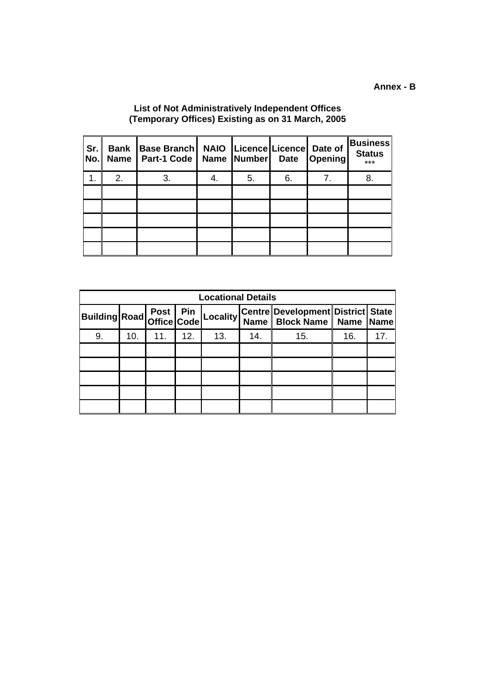## **List of Not Administratively Independent Offices (Temporary Offices) Existing as on 31 March, 2005**

| Sr.<br>No. | <b>Bank</b><br><b>Name</b> | <b>Base Branch</b><br>Part-1 Code |    | NAIO   Licence   Licence   Date of<br>Name Number Date |    | Opening | <b>Business</b><br><b>Status</b><br>*** |
|------------|----------------------------|-----------------------------------|----|--------------------------------------------------------|----|---------|-----------------------------------------|
| 1.         | 2.                         | 3.                                | 4. | 5.                                                     | 6. | 7.      | 8.                                      |
|            |                            |                                   |    |                                                        |    |         |                                         |
|            |                            |                                   |    |                                                        |    |         |                                         |
|            |                            |                                   |    |                                                        |    |         |                                         |
|            |                            |                                   |    |                                                        |    |         |                                         |
|            |                            |                                   |    |                                                        |    |         |                                         |

| <b>Locational Details</b>                      |     |     |     |     |     |                                                                        |     |             |
|------------------------------------------------|-----|-----|-----|-----|-----|------------------------------------------------------------------------|-----|-------------|
| <br> Building Road  Post   Pin<br> Office Code |     |     |     |     |     | Locality Centre Development District State<br>Name   Block Name   Name |     | <b>Name</b> |
| 9.                                             | 10. | 11. | 12. | 13. | 14. | 15.                                                                    | 16. | 17.         |
|                                                |     |     |     |     |     |                                                                        |     |             |
|                                                |     |     |     |     |     |                                                                        |     |             |
|                                                |     |     |     |     |     |                                                                        |     |             |
|                                                |     |     |     |     |     |                                                                        |     |             |
|                                                |     |     |     |     |     |                                                                        |     |             |